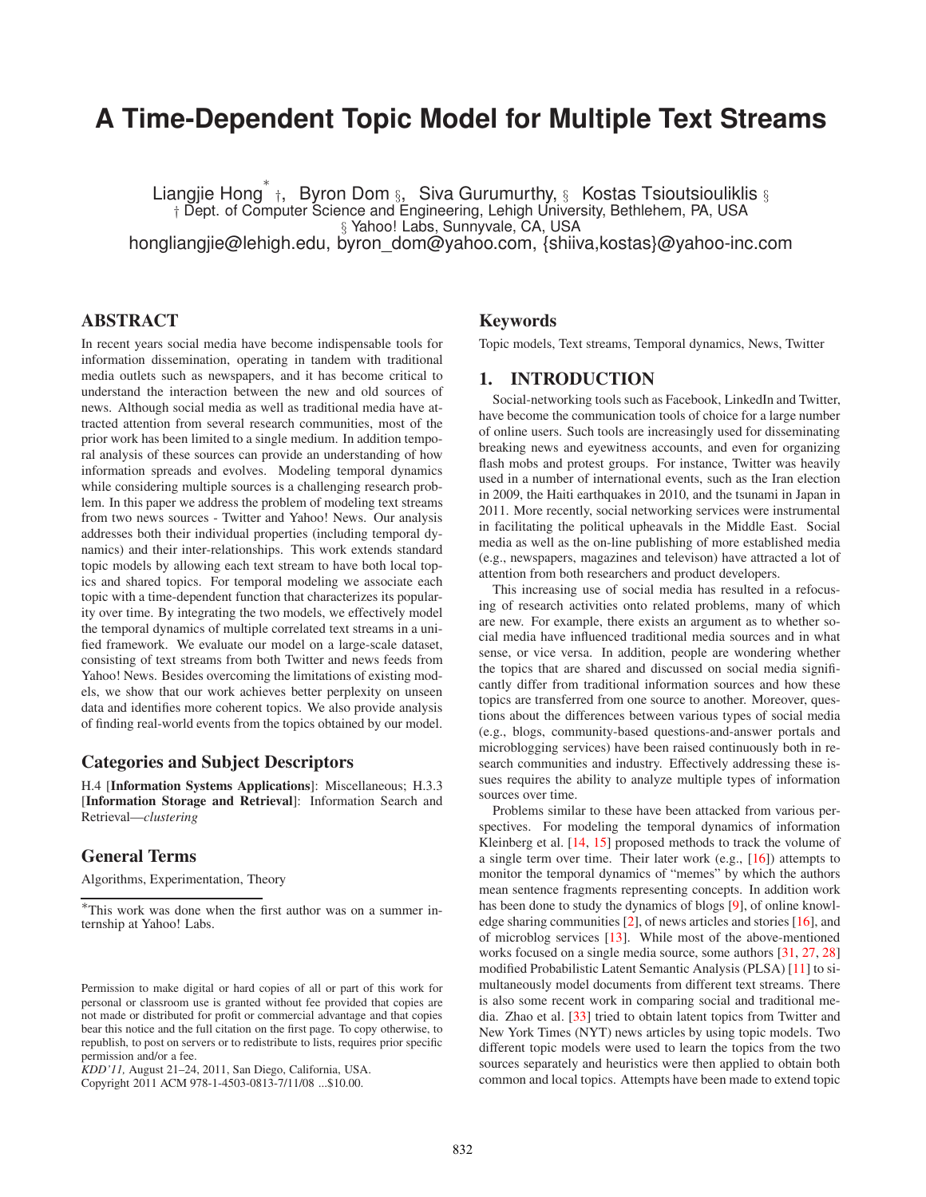# **A Time-Dependent Topic Model for Multiple Text Streams**

Liangjie Hong $^*$  †, Byron Dom  $\S$ , Siva Gurumurthy,  $\S$  Kostas Tsioutsiouliklis  $\S$ † Dept. of Computer Science and Engineering, Lehigh University, Bethlehem, PA, USA § Yahoo! Labs, Sunnyvale, CA, USA

hongliangjie@lehigh.edu, byron\_dom@yahoo.com, {shiiva,kostas}@yahoo-inc.com

# ABSTRACT

In recent years social media have become indispensable tools for information dissemination, operating in tandem with traditional media outlets such as newspapers, and it has become critical to understand the interaction between the new and old sources of news. Although social media as well as traditional media have attracted attention from several research communities, most of the prior work has been limited to a single medium. In addition temporal analysis of these sources can provide an understanding of how information spreads and evolves. Modeling temporal dynamics while considering multiple sources is a challenging research problem. In this paper we address the problem of modeling text streams from two news sources - Twitter and Yahoo! News. Our analysis addresses both their individual properties (including temporal dynamics) and their inter-relationships. This work extends standard topic models by allowing each text stream to have both local topics and shared topics. For temporal modeling we associate each topic with a time-dependent function that characterizes its popularity over time. By integrating the two models, we effectively model the temporal dynamics of multiple correlated text streams in a unified framework. We evaluate our model on a large-scale dataset, consisting of text streams from both Twitter and news feeds from Yahoo! News. Besides overcoming the limitations of existing models, we show that our work achieves better perplexity on unseen data and identifies more coherent topics. We also provide analysis of finding real-world events from the topics obtained by our model.

### Categories and Subject Descriptors

H.4 [Information Systems Applications]: Miscellaneous; H.3.3 [Information Storage and Retrieval]: Information Search and Retrieval—*clustering*

# General Terms

Algorithms, Experimentation, Theory

Copyright 2011 ACM 978-1-4503-0813-7/11/08 ...\$10.00.

# Keywords

Topic models, Text streams, Temporal dynamics, News, Twitter

## 1. INTRODUCTION

Social-networking tools such as Facebook, LinkedIn and Twitter, have become the communication tools of choice for a large number of online users. Such tools are increasingly used for disseminating breaking news and eyewitness accounts, and even for organizing flash mobs and protest groups. For instance, Twitter was heavily used in a number of international events, such as the Iran election in 2009, the Haiti earthquakes in 2010, and the tsunami in Japan in 2011. More recently, social networking services were instrumental in facilitating the political upheavals in the Middle East. Social media as well as the on-line publishing of more established media (e.g., newspapers, magazines and televison) have attracted a lot of attention from both researchers and product developers.

This increasing use of social media has resulted in a refocusing of research activities onto related problems, many of which are new. For example, there exists an argument as to whether social media have influenced traditional media sources and in what sense, or vice versa. In addition, people are wondering whether the topics that are shared and discussed on social media significantly differ from traditional information sources and how these topics are transferred from one source to another. Moreover, questions about the differences between various types of social media (e.g., blogs, community-based questions-and-answer portals and microblogging services) have been raised continuously both in research communities and industry. Effectively addressing these issues requires the ability to analyze multiple types of information sources over time.

Problems similar to these have been attacked from various perspectives. For modeling the temporal dynamics of information Kleinberg et al. [\[14,](#page-8-0) [15\]](#page-8-1) proposed methods to track the volume of a single term over time. Their later work (e.g., [\[16\]](#page-8-2)) attempts to monitor the temporal dynamics of "memes" by which the authors mean sentence fragments representing concepts. In addition work has been done to study the dynamics of blogs [\[9\]](#page-8-3), of online knowledge sharing communities [\[2\]](#page-8-4), of news articles and stories [\[16\]](#page-8-2), and of microblog services [\[13\]](#page-8-5). While most of the above-mentioned works focused on a single media source, some authors [\[31,](#page-8-6) [27,](#page-8-7) [28\]](#page-8-8) modified Probabilistic Latent Semantic Analysis (PLSA) [\[11\]](#page-8-9) to simultaneously model documents from different text streams. There is also some recent work in comparing social and traditional media. Zhao et al. [\[33\]](#page-8-10) tried to obtain latent topics from Twitter and New York Times (NYT) news articles by using topic models. Two different topic models were used to learn the topics from the two sources separately and heuristics were then applied to obtain both common and local topics. Attempts have been made to extend topic

<sup>∗</sup>This work was done when the first author was on a summer internship at Yahoo! Labs.

Permission to make digital or hard copies of all or part of this work for personal or classroom use is granted without fee provided that copies are not made or distributed for profit or commercial advantage and that copies bear this notice and the full citation on the first page. To copy otherwise, to republish, to post on servers or to redistribute to lists, requires prior specific permission and/or a fee.

*KDD'11,* August 21–24, 2011, San Diego, California, USA.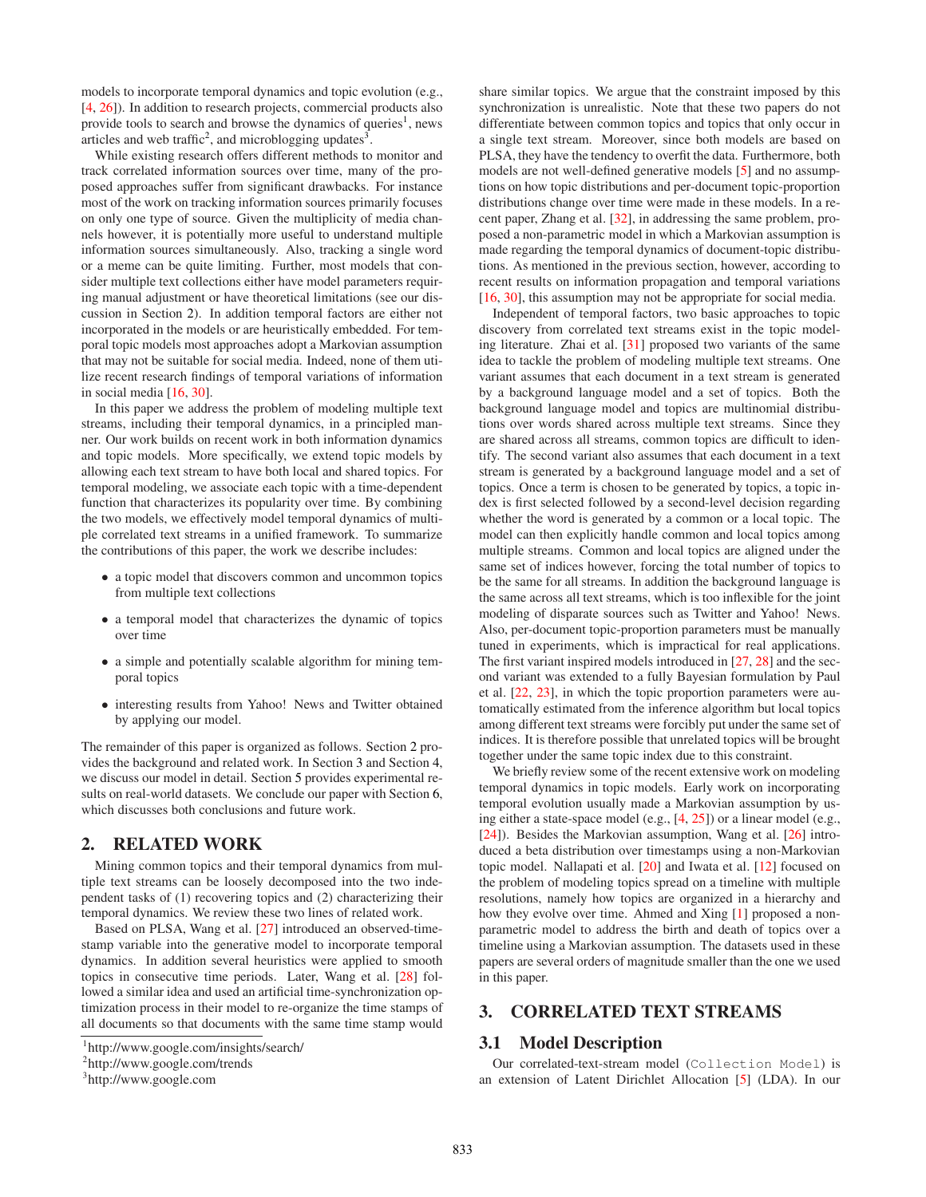models to incorporate temporal dynamics and topic evolution (e.g., [\[4,](#page-8-11) [26\]](#page-8-12)). In addition to research projects, commercial products also provide tools to search and browse the dynamics of queries<sup>1</sup>, news articles and web traffic<sup>[2](#page-1-1)</sup>, and microblogging updates<sup>3</sup>.

While existing research offers different methods to monitor and track correlated information sources over time, many of the proposed approaches suffer from significant drawbacks. For instance most of the work on tracking information sources primarily focuses on only one type of source. Given the multiplicity of media channels however, it is potentially more useful to understand multiple information sources simultaneously. Also, tracking a single word or a meme can be quite limiting. Further, most models that consider multiple text collections either have model parameters requiring manual adjustment or have theoretical limitations (see our discussion in Section [2\)](#page-1-3). In addition temporal factors are either not incorporated in the models or are heuristically embedded. For temporal topic models most approaches adopt a Markovian assumption that may not be suitable for social media. Indeed, none of them utilize recent research findings of temporal variations of information in social media  $[16, 30]$  $[16, 30]$  $[16, 30]$ .

In this paper we address the problem of modeling multiple text streams, including their temporal dynamics, in a principled manner. Our work builds on recent work in both information dynamics and topic models. More specifically, we extend topic models by allowing each text stream to have both local and shared topics. For temporal modeling, we associate each topic with a time-dependent function that characterizes its popularity over time. By combining the two models, we effectively model temporal dynamics of multiple correlated text streams in a unified framework. To summarize the contributions of this paper, the work we describe includes:

- a topic model that discovers common and uncommon topics from multiple text collections
- a temporal model that characterizes the dynamic of topics over time
- a simple and potentially scalable algorithm for mining temporal topics
- interesting results from Yahoo! News and Twitter obtained by applying our model.

The remainder of this paper is organized as follows. Section [2](#page-1-3) provides the background and related work. In Section [3](#page-1-4) and Section [4,](#page-2-0) we discuss our model in detail. Section [5](#page-4-0) provides experimental results on real-world datasets. We conclude our paper with Section [6,](#page-7-0) which discusses both conclusions and future work.

# <span id="page-1-3"></span>2. RELATED WORK

Mining common topics and their temporal dynamics from multiple text streams can be loosely decomposed into the two independent tasks of (1) recovering topics and (2) characterizing their temporal dynamics. We review these two lines of related work.

Based on PLSA, Wang et al. [\[27\]](#page-8-7) introduced an observed-timestamp variable into the generative model to incorporate temporal dynamics. In addition several heuristics were applied to smooth topics in consecutive time periods. Later, Wang et al. [\[28\]](#page-8-8) followed a similar idea and used an artificial time-synchronization optimization process in their model to re-organize the time stamps of all documents so that documents with the same time stamp would

share similar topics. We argue that the constraint imposed by this synchronization is unrealistic. Note that these two papers do not differentiate between common topics and topics that only occur in a single text stream. Moreover, since both models are based on PLSA, they have the tendency to overfit the data. Furthermore, both models are not well-defined generative models [\[5\]](#page-8-14) and no assumptions on how topic distributions and per-document topic-proportion distributions change over time were made in these models. In a recent paper, Zhang et al. [\[32\]](#page-8-15), in addressing the same problem, proposed a non-parametric model in which a Markovian assumption is made regarding the temporal dynamics of document-topic distributions. As mentioned in the previous section, however, according to recent results on information propagation and temporal variations [\[16,](#page-8-2) [30\]](#page-8-13), this assumption may not be appropriate for social media.

Independent of temporal factors, two basic approaches to topic discovery from correlated text streams exist in the topic modeling literature. Zhai et al. [\[31\]](#page-8-6) proposed two variants of the same idea to tackle the problem of modeling multiple text streams. One variant assumes that each document in a text stream is generated by a background language model and a set of topics. Both the background language model and topics are multinomial distributions over words shared across multiple text streams. Since they are shared across all streams, common topics are difficult to identify. The second variant also assumes that each document in a text stream is generated by a background language model and a set of topics. Once a term is chosen to be generated by topics, a topic index is first selected followed by a second-level decision regarding whether the word is generated by a common or a local topic. The model can then explicitly handle common and local topics among multiple streams. Common and local topics are aligned under the same set of indices however, forcing the total number of topics to be the same for all streams. In addition the background language is the same across all text streams, which is too inflexible for the joint modeling of disparate sources such as Twitter and Yahoo! News. Also, per-document topic-proportion parameters must be manually tuned in experiments, which is impractical for real applications. The first variant inspired models introduced in [\[27,](#page-8-7) [28\]](#page-8-8) and the second variant was extended to a fully Bayesian formulation by Paul et al. [\[22,](#page-8-16) [23\]](#page-8-17), in which the topic proportion parameters were automatically estimated from the inference algorithm but local topics among different text streams were forcibly put under the same set of indices. It is therefore possible that unrelated topics will be brought together under the same topic index due to this constraint.

We briefly review some of the recent extensive work on modeling temporal dynamics in topic models. Early work on incorporating temporal evolution usually made a Markovian assumption by using either a state-space model (e.g., [\[4,](#page-8-11) [25\]](#page-8-18)) or a linear model (e.g., [\[24\]](#page-8-19)). Besides the Markovian assumption, Wang et al. [\[26\]](#page-8-12) introduced a beta distribution over timestamps using a non-Markovian topic model. Nallapati et al. [\[20\]](#page-8-20) and Iwata et al. [\[12\]](#page-8-21) focused on the problem of modeling topics spread on a timeline with multiple resolutions, namely how topics are organized in a hierarchy and how they evolve over time. Ahmed and Xing [\[1\]](#page-7-1) proposed a nonparametric model to address the birth and death of topics over a timeline using a Markovian assumption. The datasets used in these papers are several orders of magnitude smaller than the one we used in this paper.

# <span id="page-1-4"></span>3. CORRELATED TEXT STREAMS

# 3.1 Model Description

Our correlated-text-stream model (Collection Model) is an extension of Latent Dirichlet Allocation [\[5\]](#page-8-14) (LDA). In our

<sup>1</sup> http://www.google.com/insights/search/

<span id="page-1-0"></span><sup>2</sup> http://www.google.com/trends

<span id="page-1-2"></span><span id="page-1-1"></span><sup>3</sup> http://www.google.com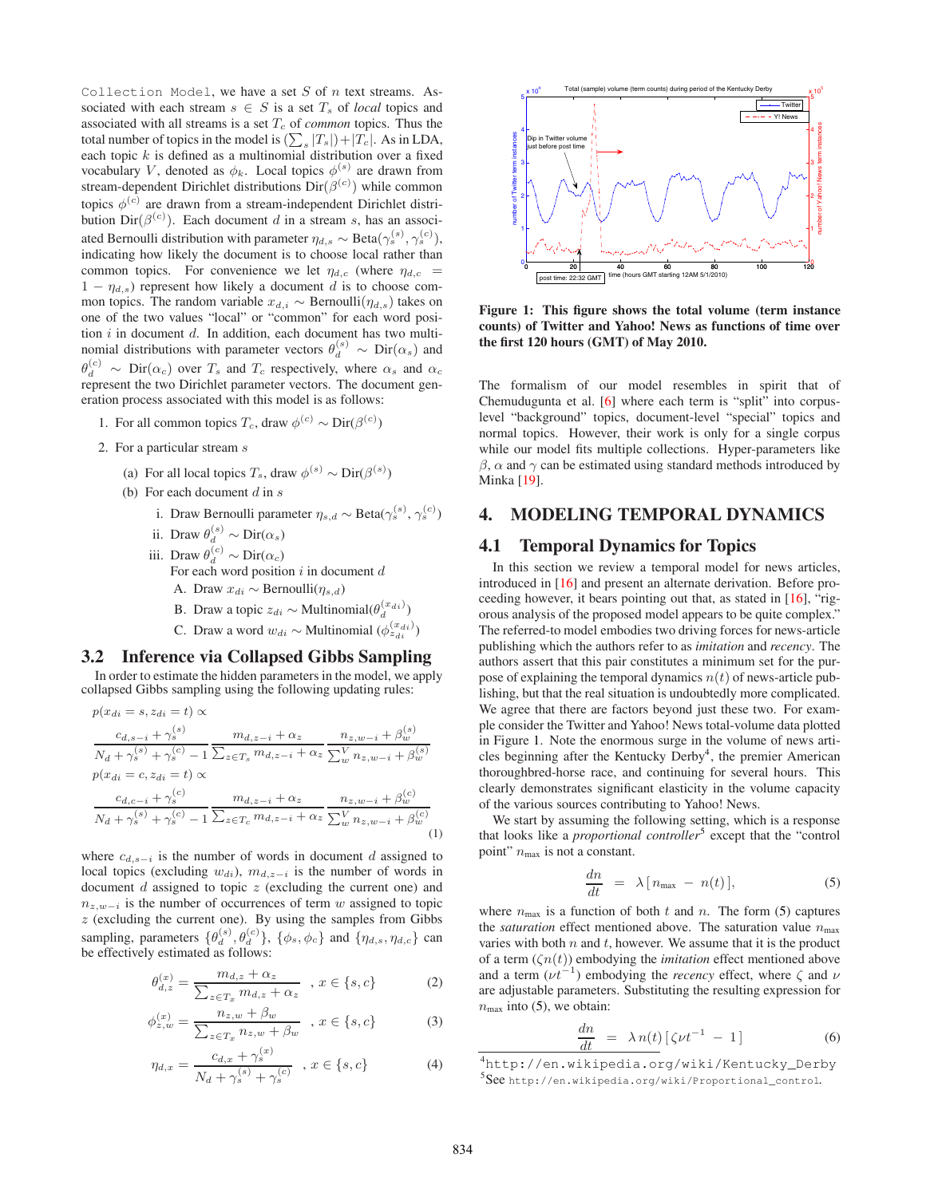Collection Model, we have a set  $S$  of  $n$  text streams. Associated with each stream  $s \in S$  is a set  $T_s$  of *local* topics and associated with all streams is a set  $T_c$  of *common* topics. Thus the total number of topics in the model is  $(\sum_s |T_s|) + |T_c|$ . As in LDA, each topic  $k$  is defined as a multinomial distribution over a fixed vocabulary V, denoted as  $\phi_k$ . Local topics  $\phi^{(s)}$  are drawn from stream-dependent Dirichlet distributions  $Dir(\beta^{(c)})$  while common<br>tonics  $\phi^{(c)}$  are drawn from a stream independent Dirichlet distri topics  $\phi^{(c)}$  are drawn from a stream-independent Dirichlet distribution  $\text{Dir}(\beta^{(c)})$ . Each document d in a stream s, has an associ-<br>sted Barmoulli distribution with parameter  $n_e = \text{Beta}(\mathbf{a}^{(s)}, \mathbf{a}^{(c)})$ . ated Bernoulli distribution with parameter  $\eta_{d,s} \sim \text{Beta}(\gamma_s^{(s)}, \gamma_s^{(c)})$ , indicating how likely the document is to choose local rather than common topics. For convenience we let  $\eta_{d,c}$  (where  $\eta_{d,c}$  =  $1 - \eta_{d,s}$ ) represent how likely a document d is to choose com-<br>mon topics. The random variable  $x_{d,i} \sim \text{Bernoulli}(\eta_{d,s})$  takes on mon topics. The random variable  $x_{d,i} \sim \text{Bernoulli}(\eta_{d,s})$  takes on one of the two values "local" or "common" for each word position  $i$  in document  $d$ . In addition, each document has two multinomial distributions with parameter vectors  $\theta_d^{(s)} \sim \text{Dir}(\alpha_s)$  and  $\theta_d^{(c)}$  $\theta_d^{(c)} \sim \text{Dir}(\alpha_c)$  over  $T_s$  and  $T_c$  respectively, where  $\alpha_s$  and  $\alpha_c$ <br>represent the two Dirichlet parameter vectors. The document genrepresent the two Dirichlet parameter vectors. The document generation process associated with this model is as follows:

- 1. For all common topics  $T_c$ , draw  $\phi^{(c)} \sim \text{Dir}(\beta^{(c)})$
- 2. For a particular stream s
	- (a) For all local topics  $T_s$ , draw  $\phi^{(s)} \sim \text{Dir}(\beta^{(s)})$
	- (b) For each document  $d$  in  $s$ 
		- i. Draw Bernoulli parameter  $\eta_{s,d} \sim \text{Beta}(\gamma_s^{(s)}, \gamma_s^{(c)})$
		- ii. Draw  $\theta_d^{(s)} \sim \text{Dir}(\alpha_s)$
		- iii. Draw  $\theta_d^{(c)} \sim \text{Dir}(\alpha_c)$ For each word position  $i$  in document  $d$ A. Draw  $x_{di} \sim \text{Bernoulli}(\eta_{s,d})$ 
			- B. Draw a topic  $z_{di} \sim \text{Multinomial}(\theta_d^{(x_{di})})$
			- C. Draw a word  $w_{di}$  ∼ Multinomial  $(\phi_{z_{di}}^{(x_{di})})$

# 3.2 Inference via Collapsed Gibbs Sampling

In order to estimate the hidden parameters in the model, we apply collapsed Gibbs sampling using the following updating rules:

$$
p(x_{di} = s, z_{di} = t) \propto
$$
  
\n
$$
\frac{c_{d,s-i} + \gamma_s^{(s)}}{N_d + \gamma_s^{(s)} + \gamma_s^{(c)} - 1} \frac{m_{d,z-i} + \alpha_z}{\sum_{z \in T_s} m_{d,z-i} + \alpha_z} \frac{n_{z,w-i} + \beta_w^{(s)}}{\sum_w^{V} n_{z,w-i} + \beta_w^{(s)}}
$$
  
\n
$$
p(x_{di} = c, z_{di} = t) \propto
$$
  
\n
$$
\frac{c_{d,c-i} + \gamma_s^{(c)}}{N_d + \gamma_s^{(s)} + \gamma_s^{(c)} - 1} \frac{m_{d,z-i} + \alpha_z}{\sum_{z \in T_c} m_{d,z-i} + \alpha_z} \frac{n_{z,w-i} + \beta_w^{(c)}}{\sum_w^{V} n_{z,w-i} + \beta_w^{(c)}}
$$
  
\n(1)

where  $c_{d,s-i}$  is the number of words in document d assigned to local topics (excluding  $w_{di}$ ),  $m_{d,z-i}$  is the number of words in document  $d$  assigned to topic  $z$  (excluding the current one) and  $n_{z,w-i}$  is the number of occurrences of term w assigned to topic  $z$  (excluding the current one). By using the samples from Gibbs sampling, parameters  $\{\theta_d^{(s)}, \theta_d^{(c)}\}$ ,  $\{\phi_s, \phi_c\}$  and  $\{\eta_{d,s}, \eta_{d,c}\}$  can be effectively estimated as follows:

$$
\theta_{d,z}^{(x)} = \frac{m_{d,z} + \alpha_z}{\sum_{z \in T_x} m_{d,z} + \alpha_z} \quad , \ x \in \{s, c\}
$$
 (2)

$$
\phi_{z,w}^{(x)} = \frac{n_{z,w} + \beta_w}{\sum_{z \in T_x} n_{z,w} + \beta_w}, \ x \in \{s, c\}
$$
 (3)

$$
\eta_{d,x} = \frac{c_{d,x} + \gamma_s^{(x)}}{N_d + \gamma_s^{(s)} + \gamma_s^{(c)}} \quad , \ x \in \{s, c\} \tag{4}
$$



<span id="page-2-1"></span>Figure 1: This figure shows the total volume (term instance counts) of Twitter and Yahoo! News as functions of time over the first 120 hours (GMT) of May 2010.

The formalism of our model resembles in spirit that of Chemudugunta et al. [\[6\]](#page-8-22) where each term is "split" into corpuslevel "background" topics, document-level "special" topics and normal topics. However, their work is only for a single corpus while our model fits multiple collections. Hyper-parameters like  $\beta$ ,  $\alpha$  and  $\gamma$  can be estimated using standard methods introduced by Minka [\[19\]](#page-8-23).

# <span id="page-2-0"></span>4. MODELING TEMPORAL DYNAMICS

### <span id="page-2-7"></span>4.1 Temporal Dynamics for Topics

In this section we review a temporal model for news articles, introduced in [\[16\]](#page-8-2) and present an alternate derivation. Before proceeding however, it bears pointing out that, as stated in [\[16\]](#page-8-2), "rigorous analysis of the proposed model appears to be quite complex." The referred-to model embodies two driving forces for news-article publishing which the authors refer to as *imitation* and *recency*. The authors assert that this pair constitutes a minimum set for the purpose of explaining the temporal dynamics  $n(t)$  of news-article publishing, but that the real situation is undoubtedly more complicated. We agree that there are factors beyond just these two. For example consider the Twitter and Yahoo! News total-volume data plotted in Figure [1.](#page-2-1) Note the enormous surge in the volume of news articles beginning after the Kentucky Derby<sup>4</sup>, the premier American thoroughbred-horse race, and continuing for several hours. This clearly demonstrates significant elasticity in the volume capacity of the various sources contributing to Yahoo! News.

<span id="page-2-5"></span>We start by assuming the following setting, which is a response that looks like a *proportional controller*[5](#page-2-3) except that the "control point"  $n_{\text{max}}$  is not a constant.

<span id="page-2-4"></span>
$$
\frac{dn}{dt} = \lambda [n_{\text{max}} - n(t)], \qquad (5)
$$

where  $n_{\text{max}}$  is a function of both t and n. The form [\(5\)](#page-2-4) captures the *saturation* effect mentioned above. The saturation value  $n_{\text{max}}$ varies with both  $n$  and  $t$ , however. We assume that it is the product of a term  $(\zeta n(t))$  embodying the *imitation* effect mentioned above and a term  $(\nu t^{-1})$  embodying the *recency* effect, where  $\zeta$  and  $\nu$ are adjustable parameters. Substituting the resulting expression for  $n_{\text{max}}$  into [\(5\)](#page-2-4), we obtain:

<span id="page-2-6"></span>
$$
\frac{dn}{dt} = \lambda n(t) \left[ \zeta \nu t^{-1} - 1 \right] \tag{6}
$$

<span id="page-2-3"></span><span id="page-2-2"></span>4 [http://en.wikipedia.org/wiki/Kentucky\\_Derby](http://en.wikipedia.org/wiki/Kentucky_Derby) 5 See [http://en.wikipedia.org/wiki/Proportional\\_control](http://en.wikipedia.org/wiki/Proportional_control).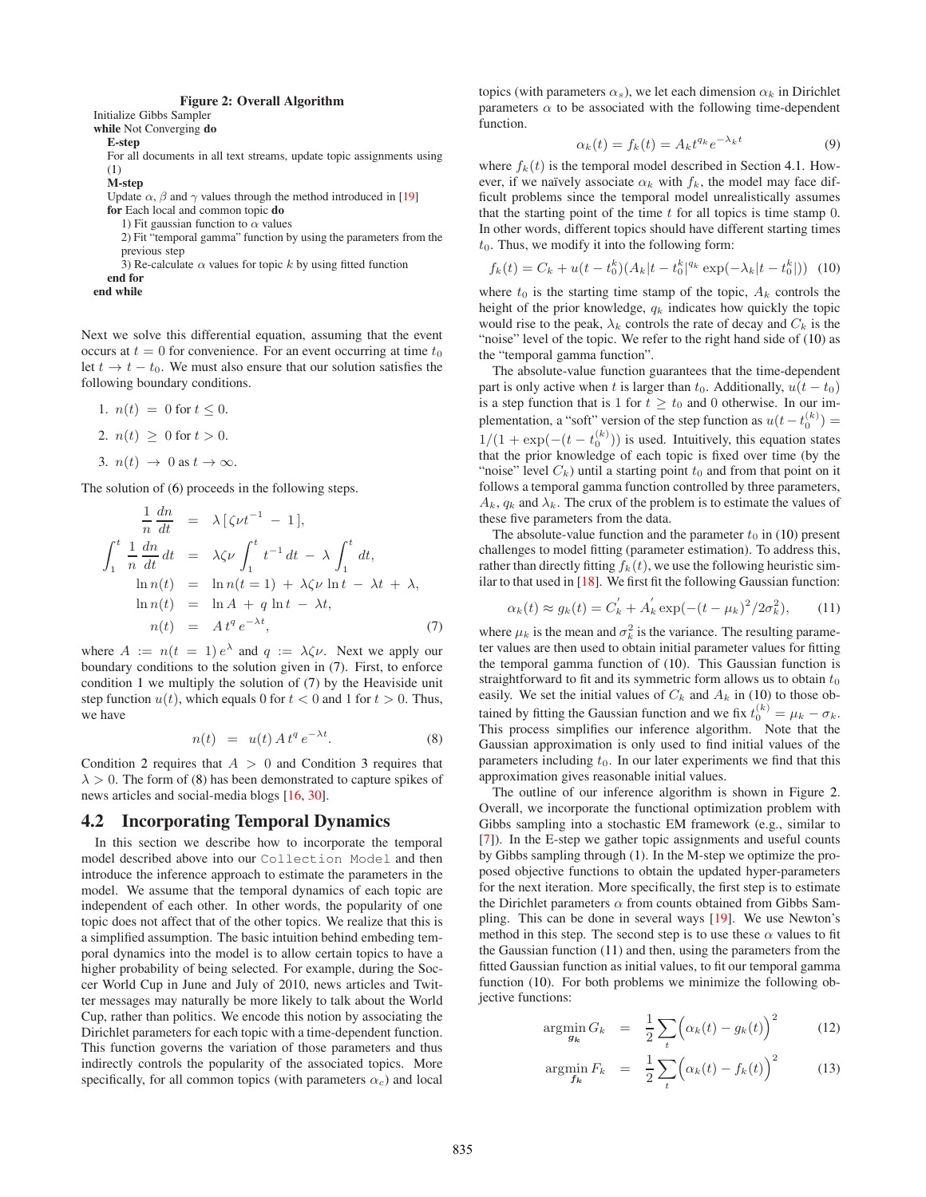#### <span id="page-3-6"></span>Figure 2: Overall Algorithm

Initialize Gibbs Sampler while Not Converging do

E-step

For all documents in all text streams, update topic assignments using [\(1\)](#page-2-5)

M-step

Update  $\alpha$ ,  $\beta$  and  $\gamma$  values through the method introduced in [\[19\]](#page-8-23)

- for Each local and common topic do
	- 1) Fit gaussian function to  $\alpha$  values
	- 2) Fit "temporal gamma" function by using the parameters from the previous step
	- 3) Re-calculate  $\alpha$  values for topic k by using fitted function

end for end while

Next we solve this differential equation, assuming that the event occurs at  $t = 0$  for convenience. For an event occurring at time  $t_0$ let  $t \to t - t_0$ . We must also ensure that our solution satisfies the following boundary conditions.

<span id="page-3-2"></span><span id="page-3-1"></span>
$$
1. \, n(t) = 0 \text{ for } t \leq 0.
$$

- <span id="page-3-3"></span>2.  $n(t) > 0$  for  $t > 0$ .
- 3.  $n(t) \rightarrow 0$  as  $t \rightarrow \infty$ .

The solution of [\(6\)](#page-2-6) proceeds in the following steps.

<span id="page-3-0"></span>
$$
\frac{1}{n}\frac{dn}{dt} = \lambda[\zeta\nu t^{-1} - 1],
$$
\n
$$
\int_{1}^{t} \frac{1}{n}\frac{dn}{dt}dt = \lambda\zeta\nu \int_{1}^{t} t^{-1}dt - \lambda \int_{1}^{t} dt,
$$
\n
$$
\ln n(t) = \ln n(t-1) + \lambda\zeta\nu \ln t - \lambda t + \lambda,
$$
\n
$$
\ln n(t) = \ln A + q \ln t - \lambda t,
$$
\n
$$
n(t) = At^{q} e^{-\lambda t},
$$
\n(7)

where  $A := n(t = 1) e^{\lambda}$  and  $q := \lambda \zeta \nu$ . Next we apply our boundary conditions to the solution given in [\(7\)](#page-3-0). First, to enforce condition [1](#page-3-1) we multiply the solution of [\(7\)](#page-3-0) by the Heaviside unit step function  $u(t)$ , which equals 0 for  $t < 0$  and 1 for  $t > 0$ . Thus, we have

<span id="page-3-4"></span>
$$
n(t) = u(t) A t^q e^{-\lambda t}.
$$
 (8)

Condition [2](#page-3-2) requires that  $A > 0$  and Condition [3](#page-3-3) requires that  $\lambda > 0$ . The form of [\(8\)](#page-3-4) has been demonstrated to capture spikes of news articles and social-media blogs [\[16,](#page-8-2) [30\]](#page-8-13).

### <span id="page-3-8"></span>4.2 Incorporating Temporal Dynamics

In this section we describe how to incorporate the temporal model described above into our Collection Model and then introduce the inference approach to estimate the parameters in the model. We assume that the temporal dynamics of each topic are independent of each other. In other words, the popularity of one topic does not affect that of the other topics. We realize that this is a simplified assumption. The basic intuition behind embeding temporal dynamics into the model is to allow certain topics to have a higher probability of being selected. For example, during the Soccer World Cup in June and July of 2010, news articles and Twitter messages may naturally be more likely to talk about the World Cup, rather than politics. We encode this notion by associating the Dirichlet parameters for each topic with a time-dependent function. This function governs the variation of those parameters and thus indirectly controls the popularity of the associated topics. More specifically, for all common topics (with parameters  $\alpha_c$ ) and local

topics (with parameters  $\alpha_s$ ), we let each dimension  $\alpha_k$  in Dirichlet parameters  $\alpha$  to be associated with the following time-dependent function.

<span id="page-3-5"></span>
$$
\alpha_k(t) = f_k(t) = A_k t^{q_k} e^{-\lambda_k t}
$$
\n(9)

where  $f_k(t)$  is the temporal model described in Section [4.1.](#page-2-7) However, if we naïvely associate  $\alpha_k$  with  $f_k$ , the model may face difficult problems since the temporal model unrealistically assumes that the starting point of the time  $t$  for all topics is time stamp  $0$ . In other words, different topics should have different starting times  $t_0$ . Thus, we modify it into the following form:

$$
f_k(t) = C_k + u(t - t_0^k)(A_k|t - t_0^k|^{q_k} \exp(-\lambda_k|t - t_0^k|))
$$
 (10)

where  $t_0$  is the starting time stamp of the topic,  $A_k$  controls the height of the prior knowledge,  $q_k$  indicates how quickly the topic would rise to the peak,  $\lambda_k$  controls the rate of decay and  $C_k$  is the "noise" level of the topic. We refer to the right hand side of [\(10\)](#page-3-5) as the "temporal gamma function".

The absolute-value function guarantees that the time-dependent part is only active when t is larger than  $t_0$ . Additionally,  $u(t - t_0)$ is a step function that is 1 for  $t \geq t_0$  and 0 otherwise. In our implementation, a "soft" version of the step function as  $u(t - t_0^{(k)})$  $1/(1 + \exp(-(t - t_0^{(k)}))$  is used. Intuitively, this equation states<br>that the prior knowledge of each topic is fixed over time (by the that the prior knowledge of each topic is fixed over time (by the "noise" level  $C_k$ ) until a starting point  $t_0$  and from that point on it follows a temporal gamma function controlled by three parameters,  $A_k$ ,  $q_k$  and  $\lambda_k$ . The crux of the problem is to estimate the values of these five parameters from the data.

The absolute-value function and the parameter  $t_0$  in [\(10\)](#page-3-5) present challenges to model fitting (parameter estimation). To address this, rather than directly fitting  $f_k(t)$ , we use the following heuristic similar to that used in [\[18\]](#page-8-24). We first fit the following Gaussian function:

<span id="page-3-7"></span>
$$
\alpha_k(t) \approx g_k(t) = C'_k + A'_k \exp(-(t - \mu_k)^2 / 2\sigma_k^2), \qquad (11)
$$

where  $\mu_k$  is the mean and  $\sigma_k^2$  is the variance. The resulting parameter values are then used to obtain initial parameter values for fitting the temporal gamma function of [\(10\)](#page-3-5). This Gaussian function is straightforward to fit and its symmetric form allows us to obtain  $t_0$ easily. We set the initial values of  $C_k$  and  $A_k$  in [\(10\)](#page-3-5) to those obtained by fitting the Gaussian function and we fix  $t_0^{(k)} = \mu_k - \sigma_k$ .<br>This process simplifies our inference algorithm. Note that the This process simplifies our inference algorithm. Note that the Gaussian approximation is only used to find initial values of the parameters including  $t_0$ . In our later experiments we find that this approximation gives reasonable initial values.

The outline of our inference algorithm is shown in Figure [2.](#page-3-6) Overall, we incorporate the functional optimization problem with Gibbs sampling into a stochastic EM framework (e.g., similar to [\[7\]](#page-8-25)). In the E-step we gather topic assignments and useful counts by Gibbs sampling through [\(1\)](#page-2-5). In the M-step we optimize the proposed objective functions to obtain the updated hyper-parameters for the next iteration. More specifically, the first step is to estimate the Dirichlet parameters  $\alpha$  from counts obtained from Gibbs Sampling. This can be done in several ways [\[19\]](#page-8-23). We use Newton's method in this step. The second step is to use these  $\alpha$  values to fit the Gaussian function [\(11\)](#page-3-7) and then, using the parameters from the fitted Gaussian function as initial values, to fit our temporal gamma function [\(10\)](#page-3-5). For both problems we minimize the following objective functions:

$$
\operatorname*{argmin}_{g_k} G_k = \frac{1}{2} \sum_{t} \Big( \alpha_k(t) - g_k(t) \Big)^2 \tag{12}
$$

$$
\operatorname*{argmin}_{\mathbf{f}_{\mathbf{k}}} F_k = \frac{1}{2} \sum_{t} \Big( \alpha_k(t) - f_k(t) \Big)^2 \tag{13}
$$

ź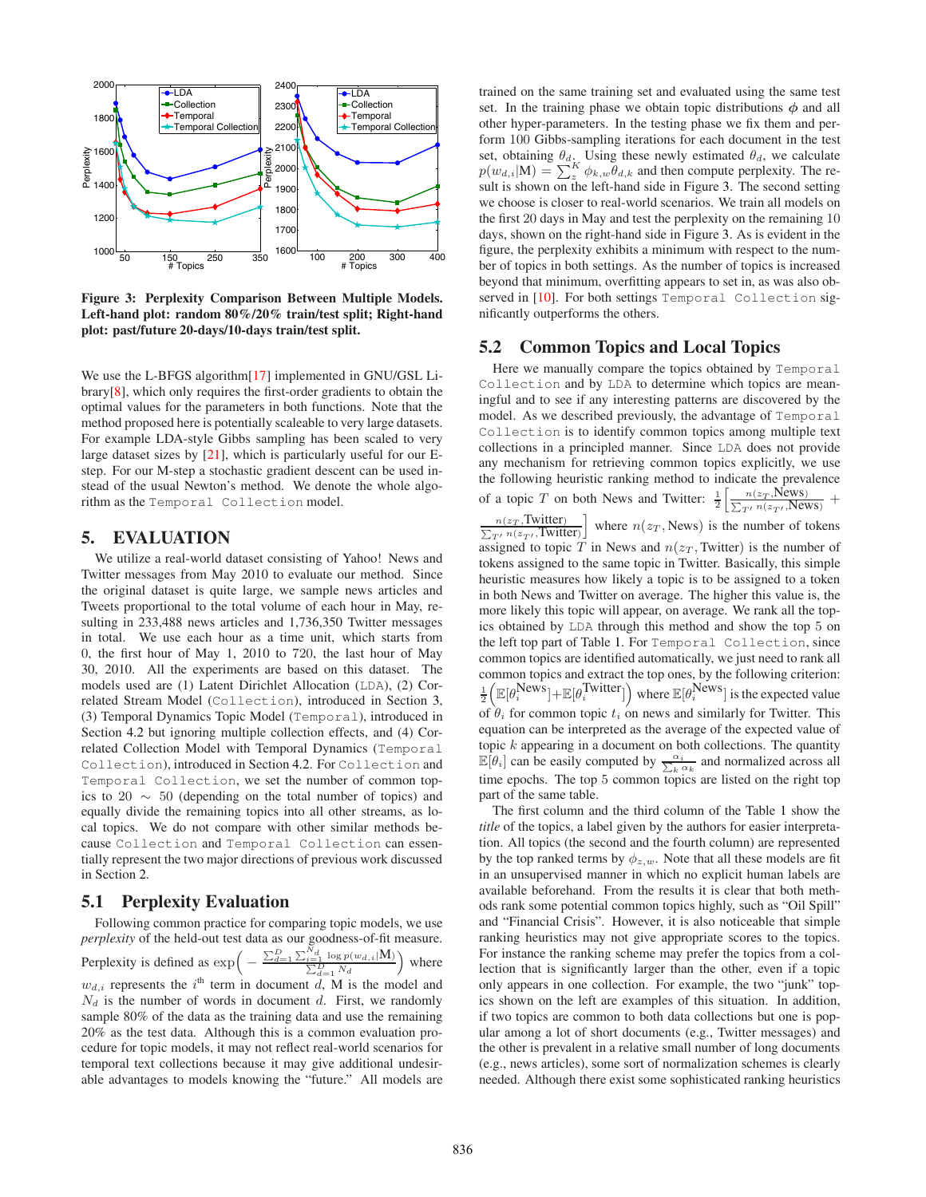

<span id="page-4-1"></span>Figure 3: Perplexity Comparison Between Multiple Models. Left-hand plot: random 80%/20% train/test split; Right-hand plot: past/future 20-days/10-days train/test split.

We use the L-BFGS algorithm[\[17\]](#page-8-26) implemented in GNU/GSL Library[\[8\]](#page-8-27), which only requires the first-order gradients to obtain the optimal values for the parameters in both functions. Note that the method proposed here is potentially scaleable to very large datasets. For example LDA-style Gibbs sampling has been scaled to very large dataset sizes by [\[21\]](#page-8-28), which is particularly useful for our Estep. For our M-step a stochastic gradient descent can be used instead of the usual Newton's method. We denote the whole algorithm as the Temporal Collection model.

### <span id="page-4-0"></span>5. EVALUATION

We utilize a real-world dataset consisting of Yahoo! News and Twitter messages from May 2010 to evaluate our method. Since the original dataset is quite large, we sample news articles and Tweets proportional to the total volume of each hour in May, resulting in 233,488 news articles and 1,736,350 Twitter messages in total. We use each hour as a time unit, which starts from 0, the first hour of May 1, 2010 to 720, the last hour of May 30, 2010. All the experiments are based on this dataset. The models used are (1) Latent Dirichlet Allocation (LDA), (2) Correlated Stream Model (Collection), introduced in Section [3,](#page-1-4) (3) Temporal Dynamics Topic Model (Temporal), introduced in Section [4.2](#page-3-8) but ignoring multiple collection effects, and (4) Correlated Collection Model with Temporal Dynamics (Temporal Collection), introduced in Section [4.2.](#page-3-8) For Collection and Temporal Collection, we set the number of common topics to 20  $\sim$  50 (depending on the total number of topics) and equally divide the remaining topics into all other streams, as local topics. We do not compare with other similar methods because Collection and Temporal Collection can essentially represent the two major directions of previous work discussed in Section [2.](#page-1-3)

### 5.1 Perplexity Evaluation

Following common practice for comparing topic models, we use *perplexity* of the held-out test data as our goodness-of-fit measure. Perplexity is defined as  $\exp(-\theta)$  $\frac{\sum_{d=1}^{D} \sum_{i=1}^{N_d} \log p(w_{d,i} | \mathbf{M})}{\sum_{d=1}^{D} N_d}$  where  $w_{d,i}$  represents the i<sup>th</sup> term in document d, M is the model and  $N_d$  is the number of words in document d. First, we randomly sample 80% of the data as the training data and use the remaining 20% as the test data. Although this is a common evaluation procedure for topic models, it may not reflect real-world scenarios for temporal text collections because it may give additional undesirable advantages to models knowing the "future." All models are trained on the same training set and evaluated using the same test set. In the training phase we obtain topic distributions  $\phi$  and all other hyper-parameters. In the testing phase we fix them and perform 100 Gibbs-sampling iterations for each document in the test set, obtaining  $\theta_d$ . Using these newly estimated  $\theta_d$ , we calculate  $p(w_{d,i}|M) = \sum_{k=1}^{K} \phi_{k,w} \theta_{d,k}$  and then compute perplexity. The re-<br>sult is shown on the left-hand side in Figure 3. The second setting sult is shown on the left-hand side in Figure [3.](#page-4-1) The second setting we choose is closer to real-world scenarios. We train all models on the first 20 days in May and test the perplexity on the remaining 10 days, shown on the right-hand side in Figure [3.](#page-4-1) As is evident in the figure, the perplexity exhibits a minimum with respect to the number of topics in both settings. As the number of topics is increased beyond that minimum, overfitting appears to set in, as was also ob-served in [\[10\]](#page-8-29). For both settings Temporal Collection significantly outperforms the others.

### 5.2 Common Topics and Local Topics

Here we manually compare the topics obtained by Temporal Collection and by LDA to determine which topics are meaningful and to see if any interesting patterns are discovered by the model. As we described previously, the advantage of Temporal Collection is to identify common topics among multiple text collections in a principled manner. Since LDA does not provide any mechanism for retrieving common topics explicitly, we use the following heuristic ranking method to indicate the prevalence of a topic T on both News and Twitter:  $\frac{1}{2} \left[ \frac{n(z_T,News)}{\sum_{T'} n(z_{T'},News)} + \cdots \right]$  $\frac{n(z_T, \text{Twitter})}{\sum_{T'} n(z_{T'}, \text{Twitter})}$  where  $n(z_T, \text{News})$  is the number of tokens assigned to topic T in News and  $n(z_T,$  Twitter) is the number of tokens assigned to the same topic in Twitter. Basically, this simple heuristic measures how likely a topic is to be assigned to a token in both News and Twitter on average. The higher this value is, the more likely this topic will appear, on average. We rank all the topics obtained by LDA through this method and show the top 5 on the left top part of Table [1.](#page-5-0) For Temporal Collection, since common topics are identified automatically, we just need to rank all common topics and extract the top ones, by the following criterion:  $\frac{1}{2} \left( \mathbb{E}[\theta_i^{\text{News}}] + \mathbb{E}[\theta_i^{\text{Twitter}}] \right)$  where  $\mathbb{E}[\theta_i^{\text{News}}]$  is the expected value of  $\theta_i$  for common topic  $t_i$  on news and similarly for Twitter. This equation can be interpreted as the average of the expected value of topic  $k$  appearing in a document on both collections. The quantity  $\mathbb{E}[\theta_i]$  can be easily computed by  $\frac{\alpha_i}{\sum k} \alpha_k$  and normalized across all<br>*time* engage. The ten  $\bar{z}$  common taking are listed on the right ten time epochs. The top 5 common topics are listed on the right top part of the same table part of the same table.

The first column and the third column of the Table [1](#page-5-0) show the *title* of the topics, a label given by the authors for easier interpretation. All topics (the second and the fourth column) are represented by the top ranked terms by  $\phi_{z,w}$ . Note that all these models are fit in an unsupervised manner in which no explicit human labels are available beforehand. From the results it is clear that both methods rank some potential common topics highly, such as "Oil Spill" and "Financial Crisis". However, it is also noticeable that simple ranking heuristics may not give appropriate scores to the topics. For instance the ranking scheme may prefer the topics from a collection that is significantly larger than the other, even if a topic only appears in one collection. For example, the two "junk" topics shown on the left are examples of this situation. In addition, if two topics are common to both data collections but one is popular among a lot of short documents (e.g., Twitter messages) and the other is prevalent in a relative small number of long documents (e.g., news articles), some sort of normalization schemes is clearly needed. Although there exist some sophisticated ranking heuristics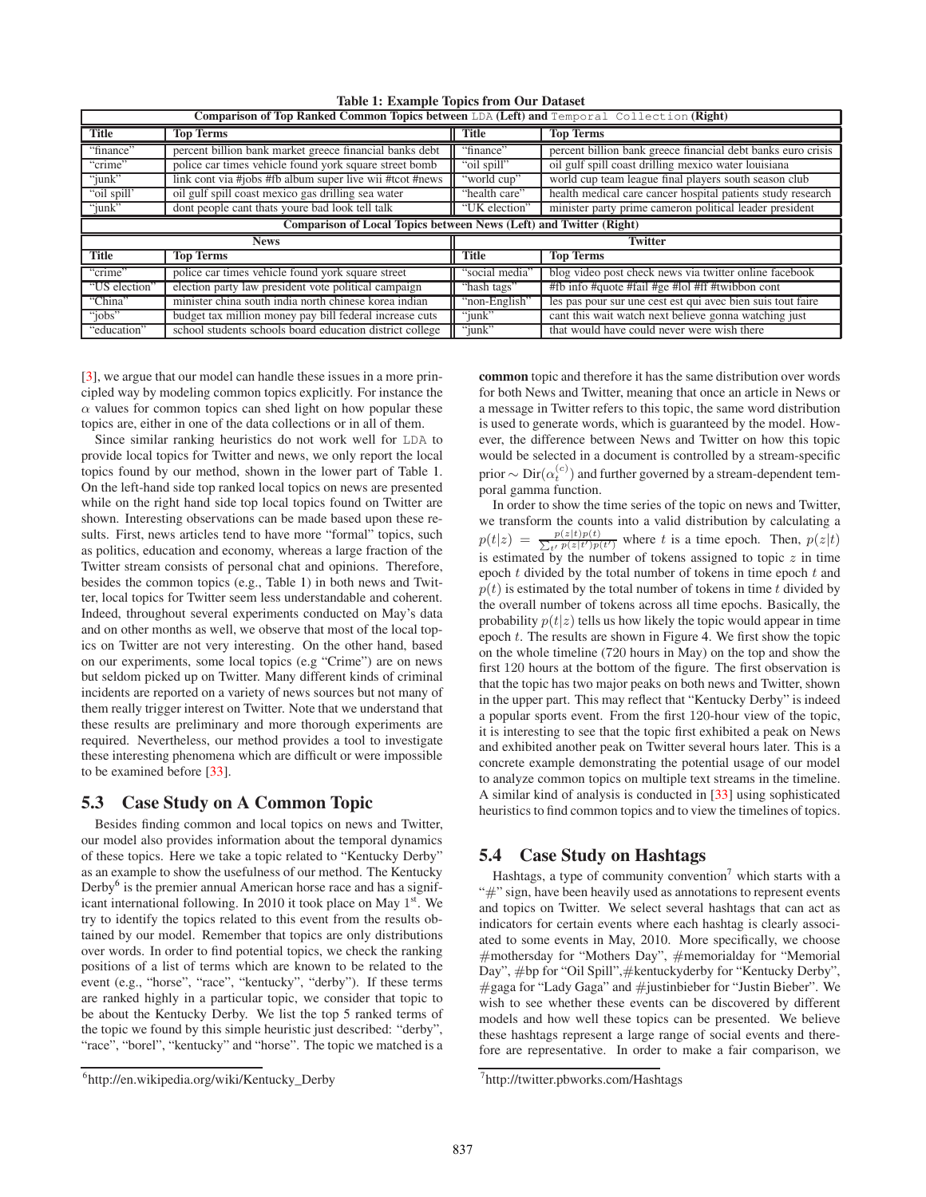| Comparison of Top Ranked Common Topics between LDA (Left) and Temporal Collection (Right) |                                                          |                |                                                              |  |  |  |  |
|-------------------------------------------------------------------------------------------|----------------------------------------------------------|----------------|--------------------------------------------------------------|--|--|--|--|
| <b>Title</b>                                                                              | <b>Top Terms</b>                                         | <b>Title</b>   | <b>Top Terms</b>                                             |  |  |  |  |
| "finance"                                                                                 | percent billion bank market greece financial banks debt  | "finance"      | percent billion bank greece financial debt banks euro crisis |  |  |  |  |
| "crime"                                                                                   | police car times vehicle found york square street bomb   | "oil spill"    | oil gulf spill coast drilling mexico water louisiana         |  |  |  |  |
| "junk"                                                                                    | link cont via #jobs #fb album super live wii #tcot #news | "world cup"    | world cup team league final players south season club        |  |  |  |  |
| "oil spill"                                                                               | oil gulf spill coast mexico gas drilling sea water       | "health care"  | health medical care cancer hospital patients study research  |  |  |  |  |
| "junk"                                                                                    | dont people cant thats youre bad look tell talk          | "UK election"  | minister party prime cameron political leader president      |  |  |  |  |
| Comparison of Local Topics between News (Left) and Twitter (Right)                        |                                                          |                |                                                              |  |  |  |  |
|                                                                                           | <b>News</b>                                              | <b>Twitter</b> |                                                              |  |  |  |  |
| <b>Title</b>                                                                              | <b>Top Terms</b>                                         | Title          | <b>Top Terms</b>                                             |  |  |  |  |
|                                                                                           |                                                          |                |                                                              |  |  |  |  |
| "crime"                                                                                   | police car times vehicle found york square street        | "social media" | blog video post check news via twitter online facebook       |  |  |  |  |
| "US election"                                                                             | election party law president vote political campaign     | "hash tags"    | #fb info #quote #fail #ge #lol #ff #twibbon cont             |  |  |  |  |
| "China"                                                                                   | minister china south india north chinese korea indian    | "non-English"  | les pas pour sur une cest est qui avec bien suis tout faire  |  |  |  |  |
| "jobs"                                                                                    | budget tax million money pay bill federal increase cuts  | "junk"         | cant this wait watch next believe gonna watching just        |  |  |  |  |

<span id="page-5-0"></span>Table 1: Example Topics from Our Dataset

[\[3\]](#page-8-30), we argue that our model can handle these issues in a more principled way by modeling common topics explicitly. For instance the  $\alpha$  values for common topics can shed light on how popular these topics are, either in one of the data collections or in all of them.

Since similar ranking heuristics do not work well for LDA to provide local topics for Twitter and news, we only report the local topics found by our method, shown in the lower part of Table [1.](#page-5-0) On the left-hand side top ranked local topics on news are presented while on the right hand side top local topics found on Twitter are shown. Interesting observations can be made based upon these results. First, news articles tend to have more "formal" topics, such as politics, education and economy, whereas a large fraction of the Twitter stream consists of personal chat and opinions. Therefore, besides the common topics (e.g., Table [1\)](#page-5-0) in both news and Twitter, local topics for Twitter seem less understandable and coherent. Indeed, throughout several experiments conducted on May's data and on other months as well, we observe that most of the local topics on Twitter are not very interesting. On the other hand, based on our experiments, some local topics (e.g "Crime") are on news but seldom picked up on Twitter. Many different kinds of criminal incidents are reported on a variety of news sources but not many of them really trigger interest on Twitter. Note that we understand that these results are preliminary and more thorough experiments are required. Nevertheless, our method provides a tool to investigate these interesting phenomena which are difficult or were impossible to be examined before [\[33\]](#page-8-10).

### 5.3 Case Study on A Common Topic

Besides finding common and local topics on news and Twitter, our model also provides information about the temporal dynamics of these topics. Here we take a topic related to "Kentucky Derby" as an example to show the usefulness of our method. The Kentucky Derby<sup>6</sup> is the premier annual American horse race and has a significant international following. In 2010 it took place on May 1<sup>st</sup>. We try to identify the topics related to this event from the results obtained by our model. Remember that topics are only distributions over words. In order to find potential topics, we check the ranking positions of a list of terms which are known to be related to the event (e.g., "horse", "race", "kentucky", "derby"). If these terms are ranked highly in a particular topic, we consider that topic to be about the Kentucky Derby. We list the top 5 ranked terms of the topic we found by this simple heuristic just described: "derby", "race", "borel", "kentucky" and "horse". The topic we matched is a common topic and therefore it has the same distribution over words for both News and Twitter, meaning that once an article in News or a message in Twitter refers to this topic, the same word distribution is used to generate words, which is guaranteed by the model. However, the difference between News and Twitter on how this topic would be selected in a document is controlled by a stream-specific prior  $\sim$  Dir( $\alpha_t^{(c)}$ ) and further governed by a stream-dependent temporal gamma function.

In order to show the time series of the topic on news and Twitter, we transform the counts into a valid distribution by calculating a  $p(t|z) = \frac{p(z|t)p(t)}{\sum t' p(z|t')p(t')}$  where t is a time epoch. Then,  $p(z|t)$ is estimated by the number of tokens assigned to topic  $z$  in time epoch  $t$  divided by the total number of tokens in time epoch  $t$  and  $p(t)$  is estimated by the total number of tokens in time t divided by the overall number of tokens across all time epochs. Basically, the probability  $p(t|z)$  tells us how likely the topic would appear in time epoch  $t$ . The results are shown in Figure [4.](#page-6-0) We first show the topic on the whole timeline (720 hours in May) on the top and show the first 120 hours at the bottom of the figure. The first observation is that the topic has two major peaks on both news and Twitter, shown in the upper part. This may reflect that "Kentucky Derby" is indeed a popular sports event. From the first 120-hour view of the topic, it is interesting to see that the topic first exhibited a peak on News and exhibited another peak on Twitter several hours later. This is a concrete example demonstrating the potential usage of our model to analyze common topics on multiple text streams in the timeline. A similar kind of analysis is conducted in [\[33\]](#page-8-10) using sophisticated heuristics to find common topics and to view the timelines of topics.

# 5.4 Case Study on Hashtags

Hashtags, a type of community convention<sup>7</sup> which starts with a "#" sign, have been heavily used as annotations to represent events and topics on Twitter. We select several hashtags that can act as indicators for certain events where each hashtag is clearly associated to some events in May, 2010. More specifically, we choose #mothersday for "Mothers Day", #memorialday for "Memorial Day", #bp for "Oil Spill", #kentuckyderby for "Kentucky Derby", #gaga for "Lady Gaga" and #justinbieber for "Justin Bieber". We wish to see whether these events can be discovered by different models and how well these topics can be presented. We believe these hashtags represent a large range of social events and therefore are representative. In order to make a fair comparison, we

<span id="page-5-1"></span><sup>6</sup> http://en.wikipedia.org/wiki/Kentucky\_Derby

<span id="page-5-2"></span><sup>7</sup> http://twitter.pbworks.com/Hashtags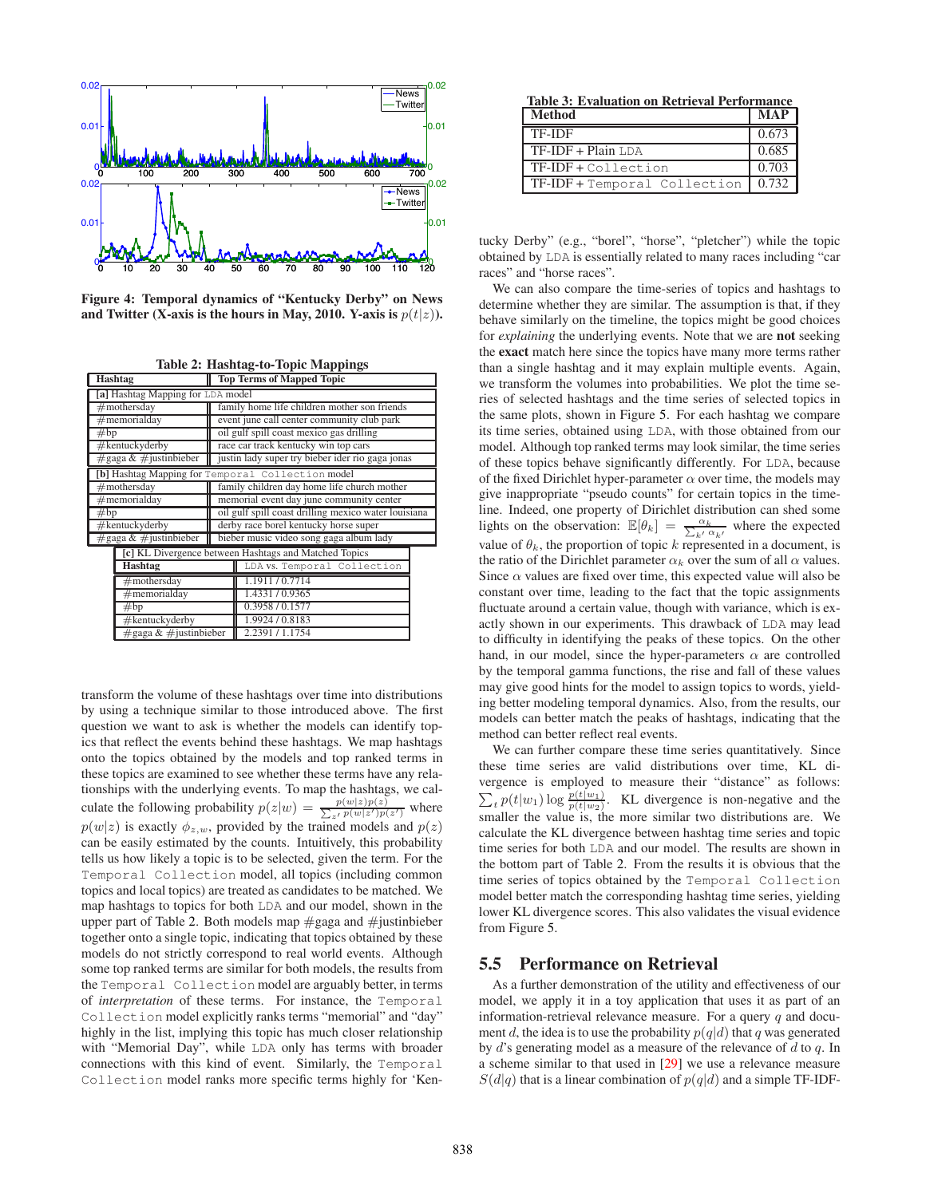

Figure 4: Temporal dynamics of "Kentucky Derby" on News and Twitter (X-axis is the hours in May, 2010. Y-axis is  $p(t|z)$ ).

<span id="page-6-1"></span><span id="page-6-0"></span>Table 2: Hashtag-to-Topic Mappings

| Hashtag                                               |  | <b>Top Terms of Mapped Topic</b>                     |  |  |  |  |
|-------------------------------------------------------|--|------------------------------------------------------|--|--|--|--|
| [a] Hashtag Mapping for LDA model                     |  |                                                      |  |  |  |  |
| $#$ mothersday                                        |  | family home life children mother son friends         |  |  |  |  |
| $#$ memorialday                                       |  | event june call center community club park           |  |  |  |  |
| #bp                                                   |  | oil gulf spill coast mexico gas drilling             |  |  |  |  |
| #kentuckyderby                                        |  | race car track kentucky win top cars                 |  |  |  |  |
| $\#$ gaga & $\#$ justinbieber                         |  | justin lady super try bieber ider rio gaga jonas     |  |  |  |  |
| [b] Hashtag Mapping for Temporal Collection model     |  |                                                      |  |  |  |  |
| $#$ mothersday                                        |  | family children day home life church mother          |  |  |  |  |
| $#$ memorialday                                       |  | memorial event day june community center             |  |  |  |  |
| #bp                                                   |  | oil gulf spill coast drilling mexico water louisiana |  |  |  |  |
| #kentuckyderby                                        |  | derby race borel kentucky horse super                |  |  |  |  |
| $\#$ gaga & $\#$ justinbieber                         |  | bieber music video song gaga album lady              |  |  |  |  |
| [c] KL Divergence between Hashtags and Matched Topics |  |                                                      |  |  |  |  |
| Hashtag                                               |  | LDA vs. Temporal Collection                          |  |  |  |  |
| $#$ mothersday                                        |  | 1.1911/0.7714                                        |  |  |  |  |
| $#$ memorialday                                       |  | 1.4331/0.9365                                        |  |  |  |  |
| #bp                                                   |  | 0.3958 / 0.1577                                      |  |  |  |  |
| #kentuckyderby                                        |  | 1.9924/0.8183                                        |  |  |  |  |
| #gaga & #justinbieber                                 |  | 2.2391 / 1.1754                                      |  |  |  |  |

transform the volume of these hashtags over time into distributions by using a technique similar to those introduced above. The first question we want to ask is whether the models can identify topics that reflect the events behind these hashtags. We map hashtags onto the topics obtained by the models and top ranked terms in these topics are examined to see whether these terms have any relationships with the underlying events. To map the hashtags, we calculate the following probability  $p(z|w) = \frac{p(w|z)p(z)}{\sum_{z'} p(w|z')p(z')}$  where  $p(w|z)$  is exactly  $\phi_{z,w}$ , provided by the trained models and  $p(z)$ can be easily estimated by the counts. Intuitively, this probability tells us how likely a topic is to be selected, given the term. For the Temporal Collection model, all topics (including common topics and local topics) are treated as candidates to be matched. We map hashtags to topics for both LDA and our model, shown in the upper part of Table [2.](#page-6-1) Both models map #gaga and #justinbieber together onto a single topic, indicating that topics obtained by these models do not strictly correspond to real world events. Although some top ranked terms are similar for both models, the results from the Temporal Collection model are arguably better, in terms of *interpretation* of these terms. For instance, the Temporal Collection model explicitly ranks terms "memorial" and "day" highly in the list, implying this topic has much closer relationship with "Memorial Day", while LDA only has terms with broader connections with this kind of event. Similarly, the Temporal Collection model ranks more specific terms highly for 'Ken-

Table 3: Evaluation on Retrieval Performance

<span id="page-6-2"></span>

| <b>Method</b>                | <b>MAP</b> |
|------------------------------|------------|
| <b>TF-IDF</b>                | 0.673      |
| $\Gamma$ TF-IDF + Plain LDA  | 0.685      |
| TF-IDF + Collection          | 0.703      |
| TF-IDF + Temporal Collection | 0.732      |

tucky Derby" (e.g., "borel", "horse", "pletcher") while the topic obtained by LDA is essentially related to many races including "car races" and "horse races".

We can also compare the time-series of topics and hashtags to determine whether they are similar. The assumption is that, if they behave similarly on the timeline, the topics might be good choices for *explaining* the underlying events. Note that we are not seeking the exact match here since the topics have many more terms rather than a single hashtag and it may explain multiple events. Again, we transform the volumes into probabilities. We plot the time series of selected hashtags and the time series of selected topics in the same plots, shown in Figure [5.](#page-7-2) For each hashtag we compare its time series, obtained using LDA, with those obtained from our model. Although top ranked terms may look similar, the time series of these topics behave significantly differently. For LDA, because of the fixed Dirichlet hyper-parameter  $\alpha$  over time, the models may give inappropriate "pseudo counts" for certain topics in the timeline. Indeed, one property of Dirichlet distribution can shed some lights on the observation:  $\mathbb{E}[\theta_k] = \frac{\alpha_k}{\sum_{k'} \alpha_{k'}}$  where the expected value of  $\theta_k$ , the proportion of topic k represented in a document, is the ratio of the Dirichlet parameter  $\alpha_k$  over the sum of all  $\alpha$  values. Since  $\alpha$  values are fixed over time, this expected value will also be constant over time, leading to the fact that the topic assignments fluctuate around a certain value, though with variance, which is exactly shown in our experiments. This drawback of LDA may lead to difficulty in identifying the peaks of these topics. On the other hand, in our model, since the hyper-parameters  $\alpha$  are controlled by the temporal gamma functions, the rise and fall of these values may give good hints for the model to assign topics to words, yielding better modeling temporal dynamics. Also, from the results, our models can better match the peaks of hashtags, indicating that the method can better reflect real events.

We can further compare these time series quantitatively. Since these time series are valid distributions over time, KL divergence is employed to measure their "distance" as follows:  $\sum_{t} p(t|w_1) \log \frac{p(t|w_1)}{p(t|w_2)}$ . KL divergence is non-negative and the sympler the value is the more similar two distributions are We smaller the value is, the more similar two distributions are. We calculate the KL divergence between hashtag time series and topic time series for both LDA and our model. The results are shown in the bottom part of Table [2.](#page-6-1) From the results it is obvious that the time series of topics obtained by the Temporal Collection model better match the corresponding hashtag time series, yielding lower KL divergence scores. This also validates the visual evidence from Figure [5.](#page-7-2)

# 5.5 Performance on Retrieval

As a further demonstration of the utility and effectiveness of our model, we apply it in a toy application that uses it as part of an information-retrieval relevance measure. For a query  $q$  and document d, the idea is to use the probability  $p(q|d)$  that q was generated by  $d$ 's generating model as a measure of the relevance of  $d$  to  $q$ . In a scheme similar to that used in [\[29\]](#page-8-31) we use a relevance measure  $S(d|q)$  that is a linear combination of  $p(q|d)$  and a simple TF-IDF-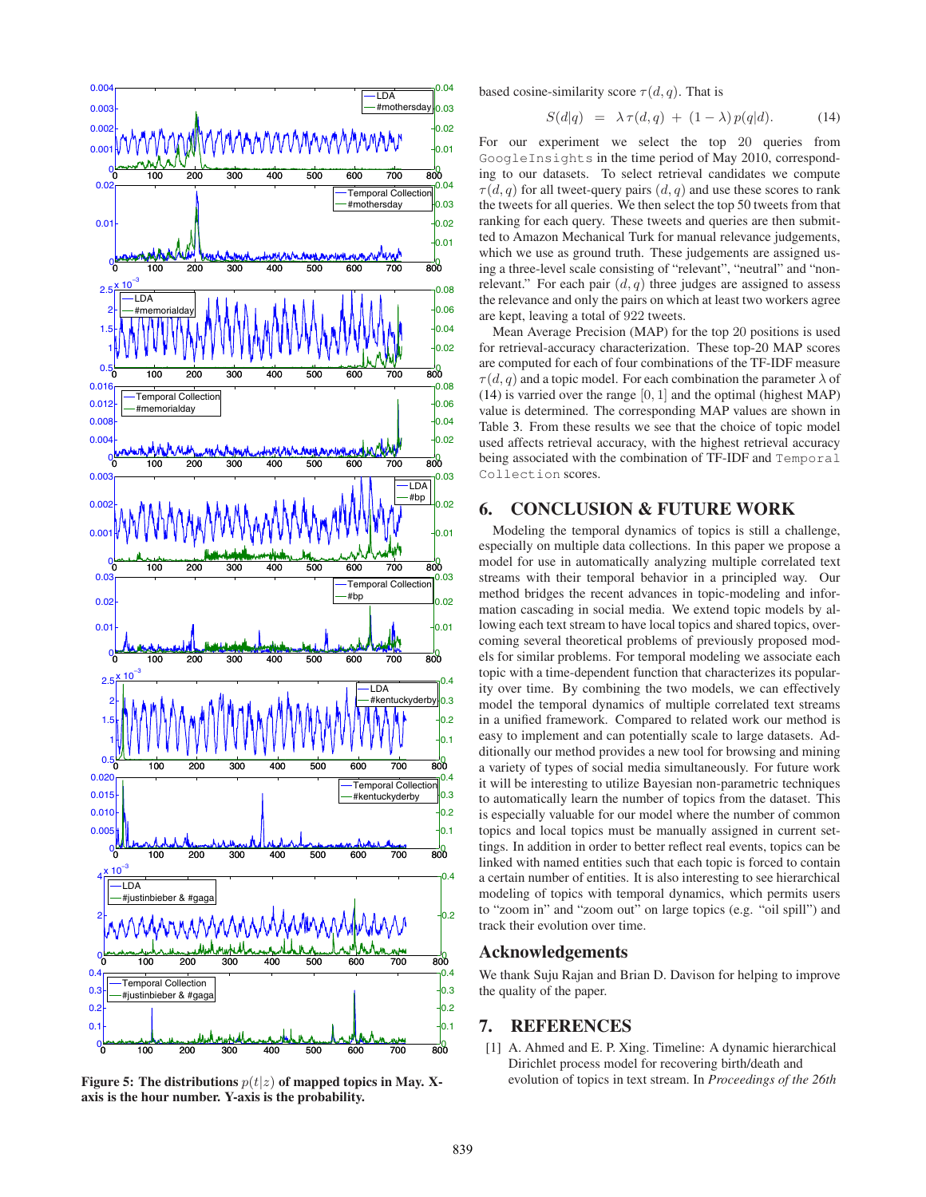

<span id="page-7-2"></span>Figure 5: The distributions  $p(t|z)$  of mapped topics in May. Xaxis is the hour number. Y-axis is the probability.

based cosine-similarity score  $\tau(d, q)$ . That is

<span id="page-7-3"></span>
$$
S(d|q) = \lambda \tau(d,q) + (1-\lambda) p(q|d). \tag{14}
$$

For our experiment we select the top 20 queries from GoogleInsights in the time period of May 2010, corresponding to our datasets. To select retrieval candidates we compute  $\tau(d, q)$  for all tweet-query pairs  $(d, q)$  and use these scores to rank the tweets for all queries. We then select the top 50 tweets from that ranking for each query. These tweets and queries are then submitted to Amazon Mechanical Turk for manual relevance judgements, which we use as ground truth. These judgements are assigned using a three-level scale consisting of "relevant", "neutral" and "nonrelevant." For each pair  $(d, q)$  three judges are assigned to assess the relevance and only the pairs on which at least two workers agree are kept, leaving a total of 922 tweets.

Mean Average Precision (MAP) for the top 20 positions is used for retrieval-accuracy characterization. These top-20 MAP scores are computed for each of four combinations of the TF-IDF measure  $\tau(d, q)$  and a topic model. For each combination the parameter  $\lambda$  of [\(14\)](#page-7-3) is varried over the range [0, 1] and the optimal (highest MAP) value is determined. The corresponding MAP values are shown in Table [3.](#page-6-2) From these results we see that the choice of topic model used affects retrieval accuracy, with the highest retrieval accuracy being associated with the combination of TF-IDF and Temporal Collection scores.

### <span id="page-7-0"></span>6. CONCLUSION & FUTURE WORK

Modeling the temporal dynamics of topics is still a challenge, especially on multiple data collections. In this paper we propose a model for use in automatically analyzing multiple correlated text streams with their temporal behavior in a principled way. Our method bridges the recent advances in topic-modeling and information cascading in social media. We extend topic models by allowing each text stream to have local topics and shared topics, overcoming several theoretical problems of previously proposed models for similar problems. For temporal modeling we associate each topic with a time-dependent function that characterizes its popularity over time. By combining the two models, we can effectively model the temporal dynamics of multiple correlated text streams in a unified framework. Compared to related work our method is easy to implement and can potentially scale to large datasets. Additionally our method provides a new tool for browsing and mining a variety of types of social media simultaneously. For future work it will be interesting to utilize Bayesian non-parametric techniques to automatically learn the number of topics from the dataset. This is especially valuable for our model where the number of common topics and local topics must be manually assigned in current settings. In addition in order to better reflect real events, topics can be linked with named entities such that each topic is forced to contain a certain number of entities. It is also interesting to see hierarchical modeling of topics with temporal dynamics, which permits users to "zoom in" and "zoom out" on large topics (e.g. "oil spill") and track their evolution over time.

### Acknowledgements

We thank Suju Rajan and Brian D. Davison for helping to improve the quality of the paper.

### <span id="page-7-1"></span>7. REFERENCES

[1] A. Ahmed and E. P. Xing. Timeline: A dynamic hierarchical Dirichlet process model for recovering birth/death and evolution of topics in text stream. In *Proceedings of the 26th*